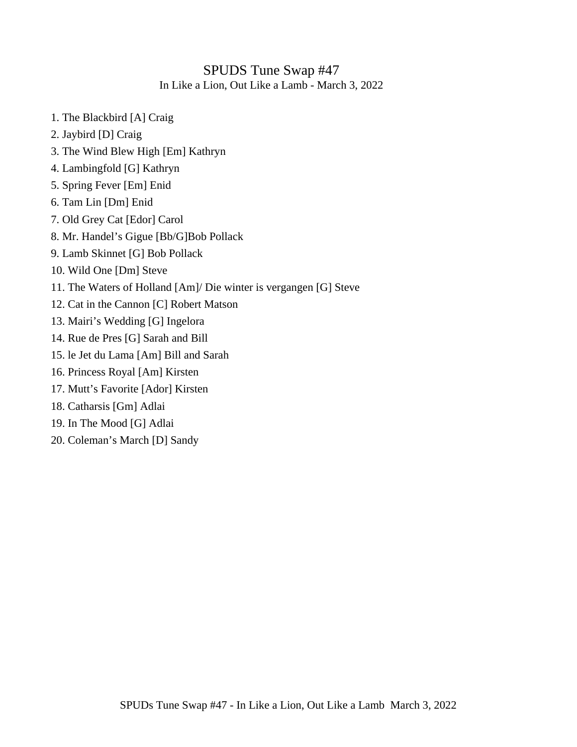#### SPUDS Tune Swap #47 In Like a Lion, Out Like a Lamb - March 3, 2022

- 1. The Blackbird [A] Craig
- 2. Jaybird [D] Craig
- 3. The Wind Blew High [Em] Kathryn
- 4. Lambingfold [G] Kathryn
- 5. Spring Fever [Em] Enid
- 6. Tam Lin [Dm] Enid
- 7. Old Grey Cat [Edor] Carol
- 8. Mr. Handel's Gigue [Bb/G]Bob Pollack
- 9. Lamb Skinnet [G] Bob Pollack
- 10. Wild One [Dm] Steve
- 11. The Waters of Holland [Am]/ Die winter is vergangen [G] Steve
- 12. Cat in the Cannon [C] Robert Matson
- 13. Mairi's Wedding [G] Ingelora
- 14. Rue de Pres [G] Sarah and Bill
- 15. le Jet du Lama [Am] Bill and Sarah
- 16. Princess Royal [Am] Kirsten
- 17. Mutt's Favorite [Ador] Kirsten
- 18. Catharsis [Gm] Adlai
- 19. In The Mood [G] Adlai
- 20. Coleman's March [D] Sandy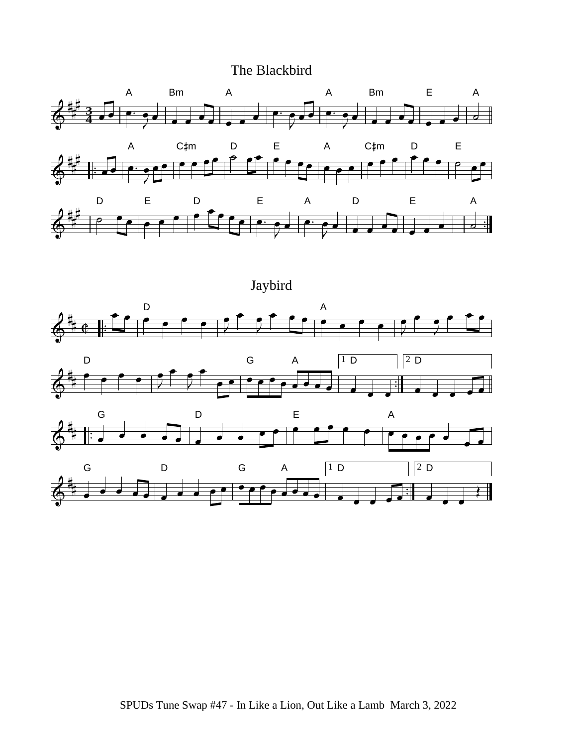### The Blackbird











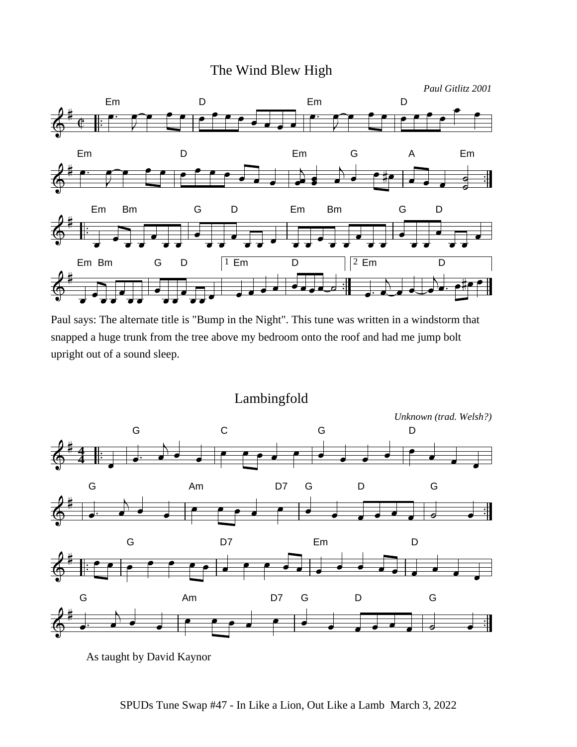### The Wind Blew High



Paul says: The alternate title is "Bump in the Night". This tune was written in a windstorm that snapped a huge trunk from the tree above my bedroom onto the roof and had me jump bolt upright out of a sound sleep.



As taught by David Kaynor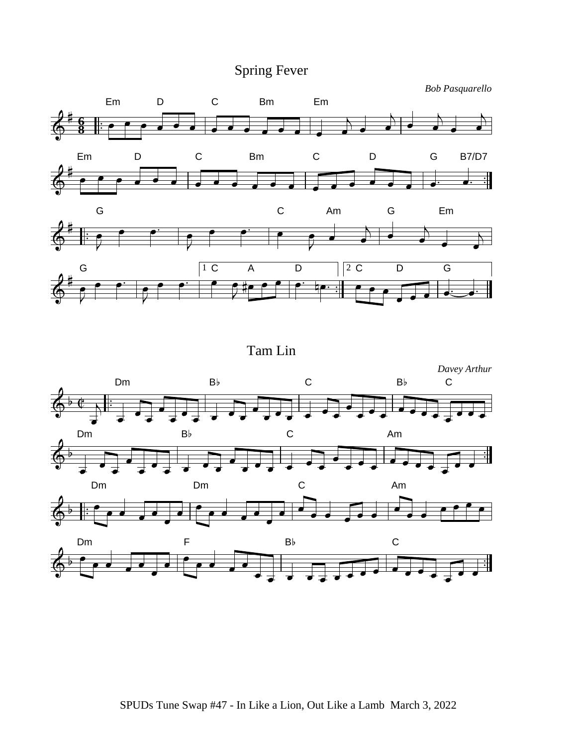## Spring Fever

*Bob Pasquarello*



Tam Lin

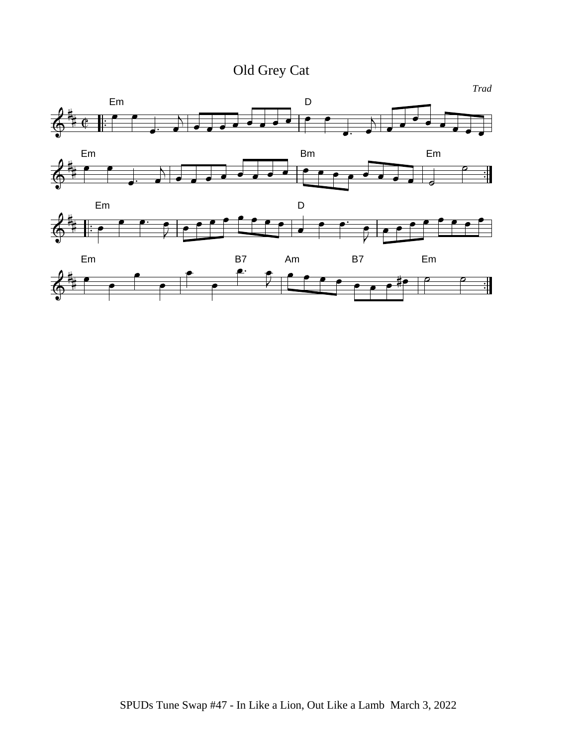Old Grey Cat

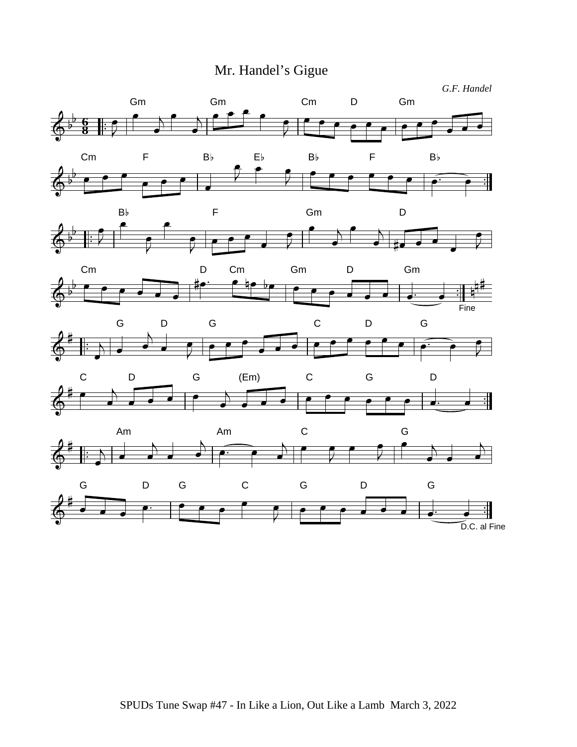# Mr. Handel's Gigue

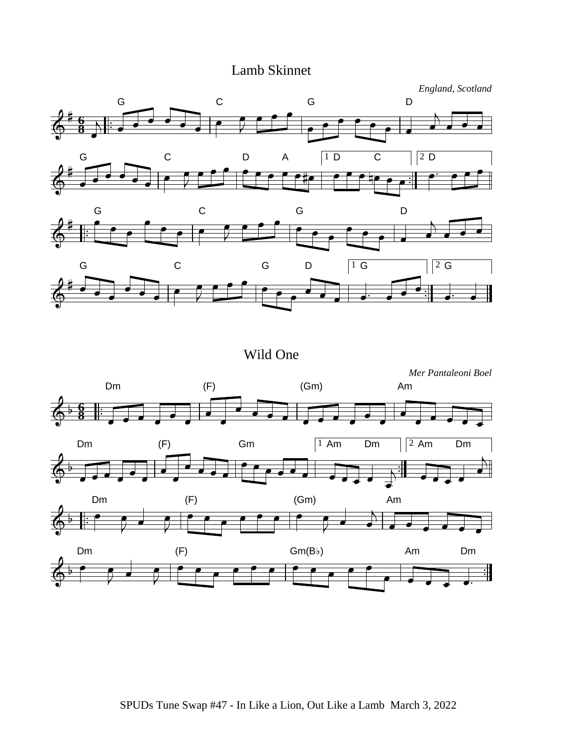## Lamb Skinnet









Wild One

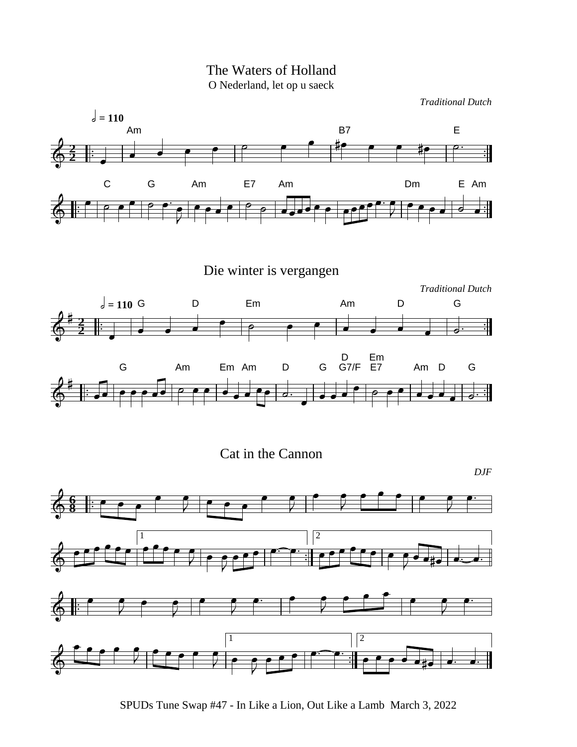The Waters of Holland O Nederland, let op u saeck

*Traditional Dutch*



SPUDs Tune Swap #47 - In Like a Lion, Out Like a Lamb March 3, 2022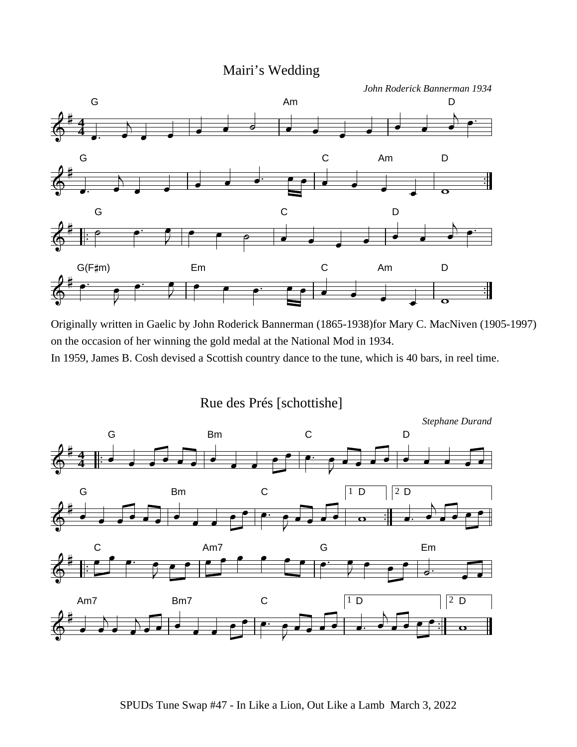### Mairi's Wedding



Originally written in Gaelic by John Roderick Bannerman (1865-1938)for Mary C. MacNiven (1905-1997) on the occasion of her winning the gold medal at the National Mod in 1934.

In 1959, James B. Cosh devised a Scottish country dance to the tune, which is 40 bars, in reel time.

Rue des Prés [schottishe]

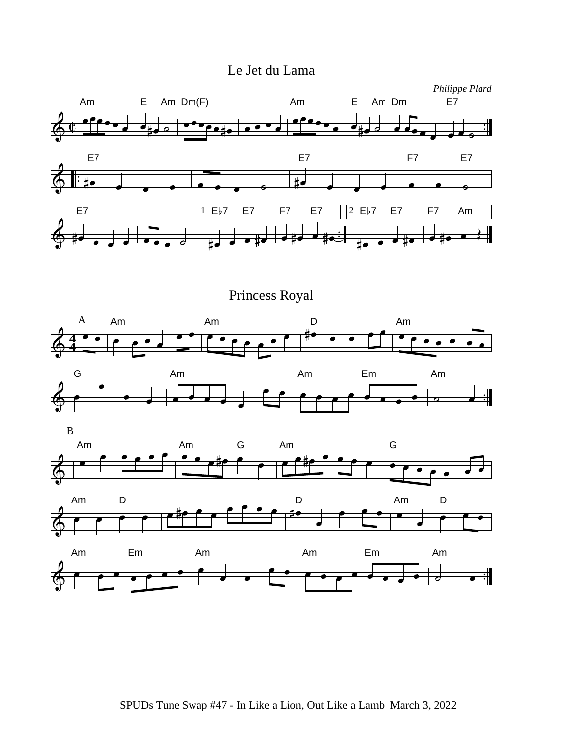### Le Jet du Lama

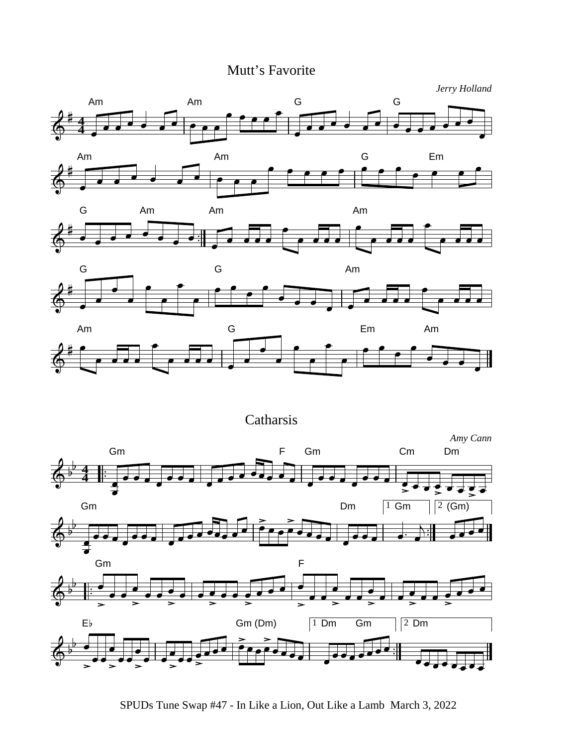## Mutt's Favorite

*Jerry Holland*







**Catharsis** 



SPUDs Tune Swap #47 - In Like a Lion, Out Like a Lamb March 3, 2022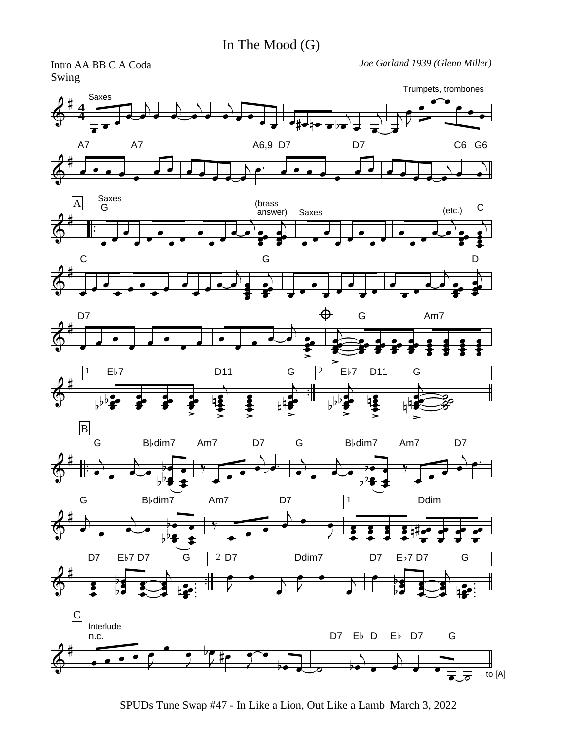Swing



SPUDs Tune Swap #47 - In Like a Lion, Out Like a Lamb March 3, 2022